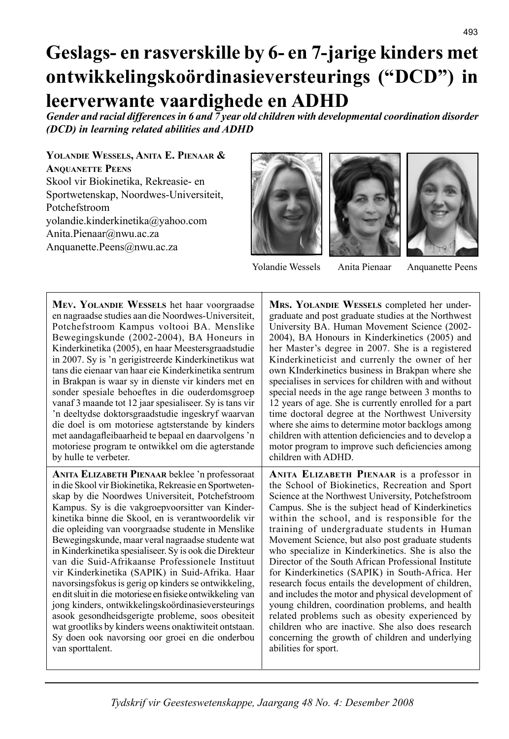# **Geslags- en rasverskille by 6- en 7-jarige kinders met ontwikkelingskoördinasieversteurings ("DCD") in leerverwante vaardighede en ADHD**

*Gender and racial differences in 6 and 7 year old children with developmental coordination disorder (DCD) in learning related abilities and ADHD*

**YOLANDIE WESSELS, ANITA E. PIENAAR & ANQUANETTE PEENS** Skool vir Biokinetika, Rekreasie- en Sportwetenskap, Noordwes-Universiteit, Potchefstroom yolandie.kinderkinetika@yahoo.com Anita.Pienaar@nwu.ac.za Anquanette.Peens@nwu.ac.za







Yolandie Wessels Anita Pienaar Anquanette Peens

| MEV. YOLANDIE WESSELS het haar voorgraadse                | MRS. YOLANDIE WESSELS completed her under-            |
|-----------------------------------------------------------|-------------------------------------------------------|
| en nagraadse studies aan die Noordwes-Universiteit,       | graduate and post graduate studies at the Northwest   |
| Potchefstroom Kampus voltooi BA. Menslike                 | University BA. Human Movement Science (2002-          |
| Bewegingskunde (2002-2004), BA Honeurs in                 | 2004), BA Honours in Kinderkinetics (2005) and        |
| Kinderkinetika (2005), en haar Meestersgraadstudie        | her Master's degree in 2007. She is a registered      |
| in 2007. Sy is 'n gerigistreerde Kinderkinetikus wat      | Kinderkineticist and currenly the owner of her        |
| tans die eienaar van haar eie Kinderkinetika sentrum      | own KInderkinetics business in Brakpan where she      |
| in Brakpan is waar sy in dienste vir kinders met en       | specialises in services for children with and without |
| sonder spesiale behoeftes in die ouderdomsgroep           | special needs in the age range between 3 months to    |
| vanaf 3 maande tot 12 jaar spesialiseer. Sy is tans vir   | 12 years of age. She is currently enrolled for a part |
| 'n deeltydse doktorsgraadstudie ingeskryf waarvan         | time doctoral degree at the Northwest University      |
| die doel is om motoriese agtsterstande by kinders         | where she aims to determine motor backlogs among      |
| met aandagafleibaarheid te bepaal en daarvolgens 'n       | children with attention deficiencies and to develop a |
| motoriese program te ontwikkel om die agterstande         | motor program to improve such deficiencies among      |
| by hulle te verbeter.                                     | children with ADHD.                                   |
| <b>ANITA ELIZABETH PIENAAR beklee</b> 'n professoraat     | ANITA ELIZABETH PIENAAR is a professor in             |
| in die Skool vir Biokinetika, Rekreasie en Sportweten-    | the School of Biokinetics, Recreation and Sport       |
| skap by die Noordwes Universiteit, Potchefstroom          | Science at the Northwest University, Potchefstroom    |
| Kampus. Sy is die vakgroepvoorsitter van Kinder-          | Campus. She is the subject head of Kinderkinetics     |
| kinetika binne die Skool, en is verantwoordelik vir       | within the school, and is responsible for the         |
| die opleiding van voorgraadse studente in Menslike        | training of undergraduate students in Human           |
| Bewegingskunde, maar veral nagraadse studente wat         | Movement Science, but also post graduate students     |
| in Kinderkinetika spesialiseer. Sy is ook die Direkteur   | who specialize in Kinderkinetics. She is also the     |
| van die Suid-Afrikaanse Professionele Instituut           | Director of the South African Professional Institute  |
| vir Kinderkinetika (SAPIK) in Suid-Afrika. Haar           | for Kinderkinetics (SAPIK) in South-Africa. Her       |
| navorsingsfokus is gerig op kinders se ontwikkeling,      | research focus entails the development of children,   |
| en dit sluit in die motoriese en fisieke ontwikkeling van | and includes the motor and physical development of    |
| jong kinders, ontwikkelingskoördinasieversteurings        | young children, coordination problems, and health     |
| asook gesondheidsgerigte probleme, soos obesiteit         | related problems such as obesity experienced by       |
| wat grootliks by kinders weens onaktiwiteit ontstaan.     | children who are inactive. She also does research     |
| Sy doen ook navorsing oor groei en die onderbou           | concerning the growth of children and underlying      |
| van sporttalent.                                          | abilities for sport.                                  |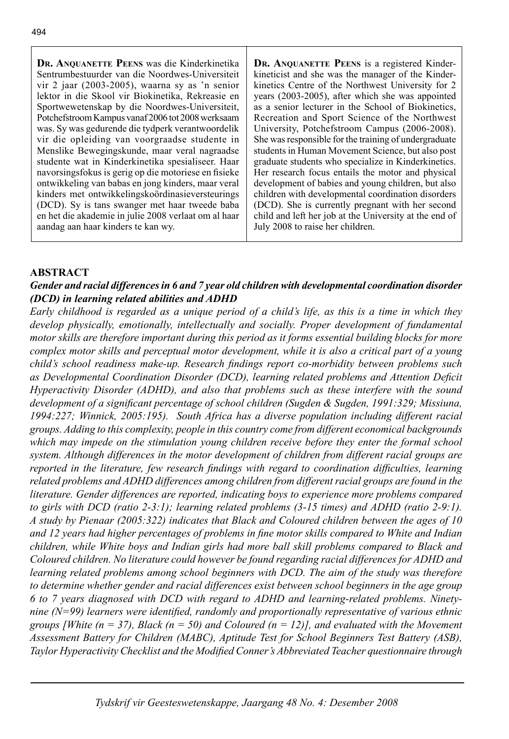**DR. ANQUANETTE PEENS** was die Kinderkinetika Sentrumbestuurder van die Noordwes-Universiteit vir 2 jaar (2003-2005), waarna sy as 'n senior lektor in die Skool vir Biokinetika, Rekreasie en Sportwewetenskap by die Noordwes-Universiteit, Potchefstroom Kampus vanaf 2006 tot 2008 werksaam was. Sy was gedurende die tydperk verantwoordelik vir die opleiding van voorgraadse studente in Menslike Bewegingskunde, maar veral nagraadse studente wat in Kinderkinetika spesialiseer. Haar navorsingsfokus is gerig op die motoriese en fisieke ontwikkeling van babas en jong kinders, maar veral kinders met ontwikkelingskoördinasieversteurings (DCD). Sy is tans swanger met haar tweede baba en het die akademie in julie 2008 verlaat om al haar aandag aan haar kinders te kan wy.

**DR. ANQUANETTE PEENS** is a registered Kinderkineticist and she was the manager of the Kinderkinetics Centre of the Northwest University for 2 years (2003-2005), after which she was appointed as a senior lecturer in the School of Biokinetics, Recreation and Sport Science of the Northwest University, Potchefstroom Campus (2006-2008). She was responsible for the training of undergraduate students in Human Movement Science, but also post graduate students who specialize in Kinderkinetics. Her research focus entails the motor and physical development of babies and young children, but also children with developmental coordination disorders (DCD). She is currently pregnant with her second child and left her job at the University at the end of July 2008 to raise her children.

#### **ABSTRACT**

#### *Gender and racial differences in 6 and 7 year old children with developmental coordination disorder (DCD) in learning related abilities and ADHD*

*Early childhood is regarded as a unique period of a child's life, as this is a time in which they develop physically, emotionally, intellectually and socially. Proper development of fundamental motor skills are therefore important during this period as it forms essential building blocks for more complex motor skills and perceptual motor development, while it is also a critical part of a young child's school readiness make-up. Research findings report co-morbidity between problems such* as Developmental Coordination Disorder (DCD), learning related problems and Attention Deficit *Hyperactivity Disorder (ADHD), and also that problems such as these interfere with the sound*  development of a significant percentage of school children (Sugden & Sugden, 1991:329; Missiuna, *1994:227; Winnick, 2005:195). South Africa has a diverse population including different racial groups. Adding to this complexity, people in this country come from different economical backgrounds which may impede on the stimulation young children receive before they enter the formal school system. Although differences in the motor development of children from different racial groups are reported in the literature, few research findings with regard to coordination difficulties, learning related problems and ADHD differences among children from different racial groups are found in the literature. Gender differences are reported, indicating boys to experience more problems compared to girls with DCD (ratio 2-3:1); learning related problems (3-15 times) and ADHD (ratio 2-9:1). A study by Pienaar (2005:322) indicates that Black and Coloured children between the ages of 10*  and 12 years had higher percentages of problems in fine motor skills compared to White and Indian *children, while White boys and Indian girls had more ball skill problems compared to Black and Coloured children. No literature could however be found regarding racial differences for ADHD and learning related problems among school beginners with DCD. The aim of the study was therefore to determine whether gender and racial differences exist between school beginners in the age group 6 to 7 years diagnosed with DCD with regard to ADHD and learning-related problems. Ninetynine (N=99) learners were identified, randomly and proportionally representative of various ethnic groups [White (n = 37), Black (n = 50) and Coloured (n = 12)], and evaluated with the Movement Assessment Battery for Children (MABC), Aptitude Test for School Beginners Test Battery (ASB),*  Taylor Hyperactivity Checklist and the Modified Conner's Abbreviated Teacher questionnaire through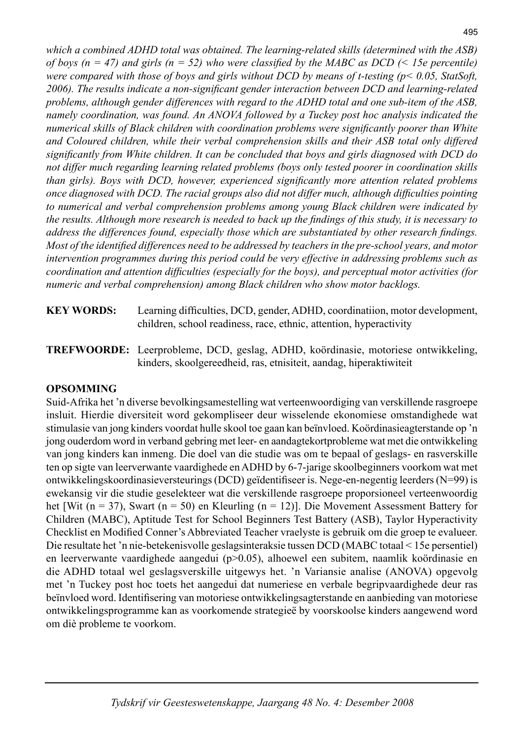*which a combined ADHD total was obtained. The learning-related skills (determined with the ASB) of boys (n = 47) and girls (n = 52) who were classified by the MABC as DCD (< 15e percentile) were compared with those of boys and girls without DCD by means of t-testing (p< 0.05, StatSoft,*  2006). The results indicate a non-significant gender interaction between DCD and learning-related *problems, although gender differences with regard to the ADHD total and one sub-item of the ASB, namely coordination, was found. An ANOVA followed by a Tuckey post hoc analysis indicated the numerical skills of Black children with coordination problems were significantly poorer than White and Coloured children, while their verbal comprehension skills and their ASB total only differed signifi cantly from White children. It can be concluded that boys and girls diagnosed with DCD do not differ much regarding learning related problems (boys only tested poorer in coordination skills than girls). Boys with DCD, however, experienced significantly more attention related problems once diagnosed with DCD. The racial groups also did not differ much, although difficulties pointing to numerical and verbal comprehension problems among young Black children were indicated by the results. Although more research is needed to back up the findings of this study, it is necessary to address the differences found, especially those which are substantiated by other research findings. Most of the identified differences need to be addressed by teachers in the pre-school years, and motor intervention programmes during this period could be very effective in addressing problems such as coordination and attention difficulties (especially for the boys), and perceptual motor activities (for numeric and verbal comprehension) among Black children who show motor backlogs.* 

- **KEY WORDS:** Learning difficulties, DCD, gender, ADHD, coordinatiion, motor development, children, school readiness, race, ethnic, attention, hyperactivity
- **TREFWOORDE:** Leerprobleme, DCD, geslag, ADHD, koördinasie, motoriese ontwikkeling, kinders, skoolgereedheid, ras, etnisiteit, aandag, hiperaktiwiteit

# **OPSOMMING**

Suid-Afrika het 'n diverse bevolkingsamestelling wat verteenwoordiging van verskillende rasgroepe insluit. Hierdie diversiteit word gekompliseer deur wisselende ekonomiese omstandighede wat stimulasie van jong kinders voordat hulle skool toe gaan kan beïnvloed. Koördinasieagterstande op 'n jong ouderdom word in verband gebring met leer- en aandagtekortprobleme wat met die ontwikkeling van jong kinders kan inmeng. Die doel van die studie was om te bepaal of geslags- en rasverskille ten op sigte van leerverwante vaardighede en ADHD by 6-7-jarige skoolbeginners voorkom wat met ontwikkelingskoordinasieversteurings (DCD) geïdentifiseer is. Nege-en-negentig leerders (N=99) is ewekansig vir die studie geselekteer wat die verskillende rasgroepe proporsioneel verteenwoordig het [Wit (n = 37), Swart (n = 50) en Kleurling (n = 12)]. Die Movement Assessment Battery for Children (MABC), Aptitude Test for School Beginners Test Battery (ASB), Taylor Hyperactivity Checklist en Modified Conner's Abbreviated Teacher vraelyste is gebruik om die groep te evalueer. Die resultate het 'n nie-betekenisvolle geslagsinteraksie tussen DCD (MABC totaal < 15e persentiel) en leerverwante vaardighede aangedui (p>0.05), alhoewel een subitem, naamlik koördinasie en die ADHD totaal wel geslagsverskille uitgewys het. 'n Variansie analise (ANOVA) opgevolg met 'n Tuckey post hoc toets het aangedui dat numeriese en verbale begripvaardighede deur ras beïnvloed word. Identifisering van motoriese ontwikkelingsagterstande en aanbieding van motoriese ontwikkelingsprogramme kan as voorkomende strategieë by voorskoolse kinders aangewend word om diè probleme te voorkom.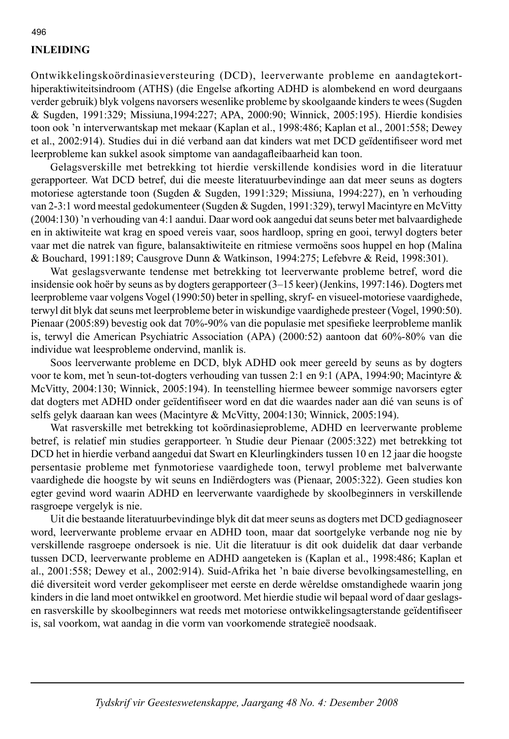#### **INLEIDING**

Ontwikkelingskoördinasieversteuring (DCD), leerverwante probleme en aandagtekorthiperaktiwiteitsindroom (ATHS) (die Engelse afkorting ADHD is alombekend en word deurgaans verder gebruik) blyk volgens navorsers wesenlike probleme by skoolgaande kinders te wees (Sugden & Sugden, 1991:329; Missiuna,1994:227; APA, 2000:90; Winnick, 2005:195). Hierdie kondisies toon ook 'n interverwantskap met mekaar (Kaplan et al., 1998:486; Kaplan et al., 2001:558; Dewey et al., 2002:914). Studies dui in dié verband aan dat kinders wat met DCD geïdentifiseer word met leerprobleme kan sukkel asook simptome van aandagafleibaarheid kan toon.

 Gelagsverskille met betrekking tot hierdie verskillende kondisies word in die literatuur gerapporteer. Wat DCD betref, dui die meeste literatuurbevindinge aan dat meer seuns as dogters motoriese agterstande toon (Sugden & Sugden, 1991:329; Missiuna, 1994:227), en 'n verhouding van 2-3:1 word meestal gedokumenteer (Sugden & Sugden, 1991:329), terwyl Macintyre en McVitty (2004:130) 'n verhouding van 4:1 aandui. Daar word ook aangedui dat seuns beter met balvaardighede en in aktiwiteite wat krag en spoed vereis vaar, soos hardloop, spring en gooi, terwyl dogters beter vaar met die natrek van figure, balansaktiwiteite en ritmiese vermoëns soos huppel en hop (Malina & Bouchard, 1991:189; Causgrove Dunn & Watkinson, 1994:275; Lefebvre & Reid, 1998:301).

 Wat geslagsverwante tendense met betrekking tot leerverwante probleme betref, word die insidensie ook hoër by seuns as by dogters gerapporteer (3–15 keer) (Jenkins, 1997:146). Dogters met leerprobleme vaar volgens Vogel (1990:50) beter in spelling, skryf- en visueel-motoriese vaardighede, terwyl dit blyk dat seuns met leerprobleme beter in wiskundige vaardighede presteer (Vogel, 1990:50). Pienaar (2005:89) bevestig ook dat 70%-90% van die populasie met spesifieke leerprobleme manlik is, terwyl die American Psychiatric Association (APA) (2000:52) aantoon dat 60%-80% van die individue wat leesprobleme ondervind, manlik is.

 Soos leerverwante probleme en DCD, blyk ADHD ook meer gereeld by seuns as by dogters voor te kom, met 'n seun-tot-dogters verhouding van tussen 2:1 en 9:1 (APA, 1994:90; Macintyre & McVitty, 2004:130; Winnick, 2005:194). In teenstelling hiermee beweer sommige navorsers egter dat dogters met ADHD onder geïdentifiseer word en dat die waardes nader aan dié van seuns is of selfs gelyk daaraan kan wees (Macintyre & McVitty, 2004:130; Winnick, 2005:194).

 Wat rasverskille met betrekking tot koördinasieprobleme, ADHD en leerverwante probleme betref, is relatief min studies gerapporteer. 'n Studie deur Pienaar (2005:322) met betrekking tot DCD het in hierdie verband aangedui dat Swart en Kleurlingkinders tussen 10 en 12 jaar die hoogste persentasie probleme met fynmotoriese vaardighede toon, terwyl probleme met balverwante vaardighede die hoogste by wit seuns en Indiërdogters was (Pienaar, 2005:322). Geen studies kon egter gevind word waarin ADHD en leerverwante vaardighede by skoolbeginners in verskillende rasgroepe vergelyk is nie.

 Uit die bestaande literatuurbevindinge blyk dit dat meer seuns as dogters met DCD gediagnoseer word, leerverwante probleme ervaar en ADHD toon, maar dat soortgelyke verbande nog nie by verskillende rasgroepe ondersoek is nie. Uit die literatuur is dit ook duidelik dat daar verbande tussen DCD, leerverwante probleme en ADHD aangeteken is (Kaplan et al., 1998:486; Kaplan et al., 2001:558; Dewey et al., 2002:914). Suid-Afrika het 'n baie diverse bevolkingsamestelling, en dié diversiteit word verder gekompliseer met eerste en derde wêreldse omstandighede waarin jong kinders in die land moet ontwikkel en grootword. Met hierdie studie wil bepaal word of daar geslagsen rasverskille by skoolbeginners wat reeds met motoriese ontwikkelingsagterstande geïdentifiseer is, sal voorkom, wat aandag in die vorm van voorkomende strategieë noodsaak.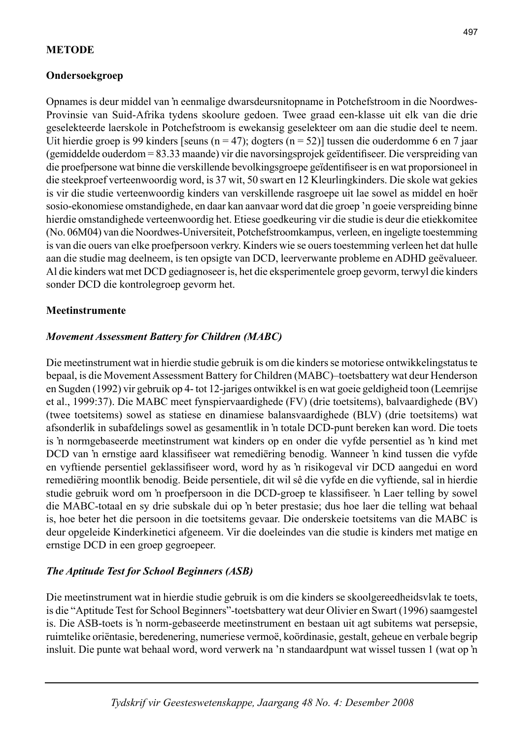#### **METODE**

#### **Ondersoekgroep**

Opnames is deur middel van 'n eenmalige dwarsdeursnitopname in Potchefstroom in die Noordwes-Provinsie van Suid-Afrika tydens skoolure gedoen. Twee graad een-klasse uit elk van die drie geselekteerde laerskole in Potchefstroom is ewekansig geselekteer om aan die studie deel te neem. Uit hierdie groep is 99 kinders [seuns (n = 47); dogters (n = 52)] tussen die ouderdomme 6 en 7 jaar (gemiddelde ouderdom = 83.33 maande) vir die navorsingsprojek geïdentifi seer. Die verspreiding van die proefpersone wat binne die verskillende bevolkingsgroepe geïdentifi seer is en wat proporsioneel in die steekproef verteenwoordig word, is 37 wit, 50 swart en 12 Kleurlingkinders. Die skole wat gekies is vir die studie verteenwoordig kinders van verskillende rasgroepe uit lae sowel as middel en hoër sosio-ekonomiese omstandighede, en daar kan aanvaar word dat die groep 'n goeie verspreiding binne hierdie omstandighede verteenwoordig het. Etiese goedkeuring vir die studie is deur die etiekkomitee (No. 06M04) van die Noordwes-Universiteit, Potchefstroomkampus, verleen, en ingeligte toestemming is van die ouers van elke proefpersoon verkry. Kinders wie se ouers toestemming verleen het dat hulle aan die studie mag deelneem, is ten opsigte van DCD, leerverwante probleme en ADHD geëvalueer. Al die kinders wat met DCD gediagnoseer is, het die eksperimentele groep gevorm, terwyl die kinders sonder DCD die kontrolegroep gevorm het.

# **Meetinstrumente**

# *Movement Assessment Battery for Children (MABC)*

Die meetinstrument wat in hierdie studie gebruik is om die kinders se motoriese ontwikkelingstatus te bepaal, is die Movement Assessment Battery for Children (MABC)–toetsbattery wat deur Henderson en Sugden (1992) vir gebruik op 4- tot 12-jariges ontwikkel is en wat goeie geldigheid toon (Leemrijse et al., 1999:37). Die MABC meet fynspiervaardighede (FV) (drie toetsitems), balvaardighede (BV) (twee toetsitems) sowel as statiese en dinamiese balansvaardighede (BLV) (drie toetsitems) wat afsonderlik in subafdelings sowel as gesamentlik in 'n totale DCD-punt bereken kan word. Die toets is 'n normgebaseerde meetinstrument wat kinders op en onder die vyfde persentiel as 'n kind met DCD van 'n ernstige aard klassifiseer wat remediëring benodig. Wanneer 'n kind tussen die vyfde en vyftiende persentiel geklassifiseer word, word hy as 'n risikogeval vir DCD aangedui en word remediëring moontlik benodig. Beide persentiele, dit wil sê die vyfde en die vyftiende, sal in hierdie studie gebruik word om 'n proefpersoon in die DCD-groep te klassifiseer. 'n Laer telling by sowel die MABC-totaal en sy drie subskale dui op 'n beter prestasie; dus hoe laer die telling wat behaal is, hoe beter het die persoon in die toetsitems gevaar. Die onderskeie toetsitems van die MABC is deur opgeleide Kinderkinetici afgeneem. Vir die doeleindes van die studie is kinders met matige en ernstige DCD in een groep gegroepeer.

# *The Aptitude Test for School Beginners (ASB)*

Die meetinstrument wat in hierdie studie gebruik is om die kinders se skoolgereedheidsvlak te toets, is die "Aptitude Test for School Beginners"-toetsbattery wat deur Olivier en Swart (1996) saamgestel is. Die ASB-toets is 'n norm-gebaseerde meetinstrument en bestaan uit agt subitems wat persepsie, ruimtelike oriëntasie, beredenering, numeriese vermoë, koördinasie, gestalt, geheue en verbale begrip insluit. Die punte wat behaal word, word verwerk na 'n standaardpunt wat wissel tussen 1 (wat op 'n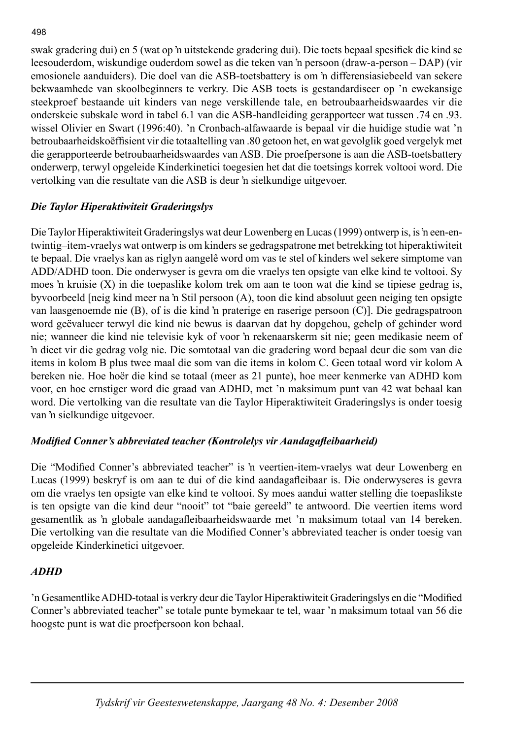# swak gradering dui) en 5 (wat op 'n uitstekende gradering dui). Die toets bepaal spesifiek die kind se leesouderdom, wiskundige ouderdom sowel as die teken van 'n persoon (draw-a-person – DAP) (vir emosionele aanduiders). Die doel van die ASB-toetsbattery is om 'n differensiasiebeeld van sekere bekwaamhede van skoolbeginners te verkry. Die ASB toets is gestandardiseer op 'n ewekansige steekproef bestaande uit kinders van nege verskillende tale, en betroubaarheidswaardes vir die onderskeie subskale word in tabel 6.1 van die ASB-handleiding gerapporteer wat tussen .74 en .93. wissel Olivier en Swart (1996:40). 'n Cronbach-alfawaarde is bepaal vir die huidige studie wat 'n betroubaarheidskoëffisient vir die totaaltelling van .80 getoon het, en wat gevolglik goed vergelyk met die gerapporteerde betroubaarheidswaardes van ASB. Die proefpersone is aan die ASB-toetsbattery onderwerp, terwyl opgeleide Kinderkinetici toegesien het dat die toetsings korrek voltooi word. Die vertolking van die resultate van die ASB is deur 'n sielkundige uitgevoer.

# *Die Taylor Hiperaktiwiteit Graderingslys*

Die Taylor Hiperaktiwiteit Graderingslys wat deur Lowenberg en Lucas (1999) ontwerp is, is 'n een-entwintig–item-vraelys wat ontwerp is om kinders se gedragspatrone met betrekking tot hiperaktiwiteit te bepaal. Die vraelys kan as riglyn aangelê word om vas te stel of kinders wel sekere simptome van ADD/ADHD toon. Die onderwyser is gevra om die vraelys ten opsigte van elke kind te voltooi. Sy moes 'n kruisie (X) in die toepaslike kolom trek om aan te toon wat die kind se tipiese gedrag is, byvoorbeeld [neig kind meer na 'n Stil persoon (A), toon die kind absoluut geen neiging ten opsigte van laasgenoemde nie (B), of is die kind 'n praterige en raserige persoon (C)]. Die gedragspatroon word geëvalueer terwyl die kind nie bewus is daarvan dat hy dopgehou, gehelp of gehinder word nie; wanneer die kind nie televisie kyk of voor 'n rekenaarskerm sit nie; geen medikasie neem of 'n dieet vir die gedrag volg nie. Die somtotaal van die gradering word bepaal deur die som van die items in kolom B plus twee maal die som van die items in kolom C. Geen totaal word vir kolom A bereken nie. Hoe hoër die kind se totaal (meer as 21 punte), hoe meer kenmerke van ADHD kom voor, en hoe ernstiger word die graad van ADHD, met 'n maksimum punt van 42 wat behaal kan word. Die vertolking van die resultate van die Taylor Hiperaktiwiteit Graderingslys is onder toesig van 'n sielkundige uitgevoer.

# *Modified Conner's abbreviated teacher (Kontrolelys vir Aandagafleibaarheid)*

Die "Modified Conner's abbreviated teacher" is 'n veertien-item-vraelys wat deur Lowenberg en Lucas (1999) beskryf is om aan te dui of die kind aandagafleibaar is. Die onderwyseres is gevra om die vraelys ten opsigte van elke kind te voltooi. Sy moes aandui watter stelling die toepaslikste is ten opsigte van die kind deur "nooit" tot "baie gereeld" te antwoord. Die veertien items word gesamentlik as 'n globale aandagafleibaarheidswaarde met 'n maksimum totaal van 14 bereken. Die vertolking van die resultate van die Modified Conner's abbreviated teacher is onder toesig van opgeleide Kinderkinetici uitgevoer.

# *ADHD*

'n Gesamentlike ADHD-totaal is verkry deur die Taylor Hiperaktiwiteit Graderingslys en die "Modified Conner's abbreviated teacher" se totale punte bymekaar te tel, waar 'n maksimum totaal van 56 die hoogste punt is wat die proefpersoon kon behaal.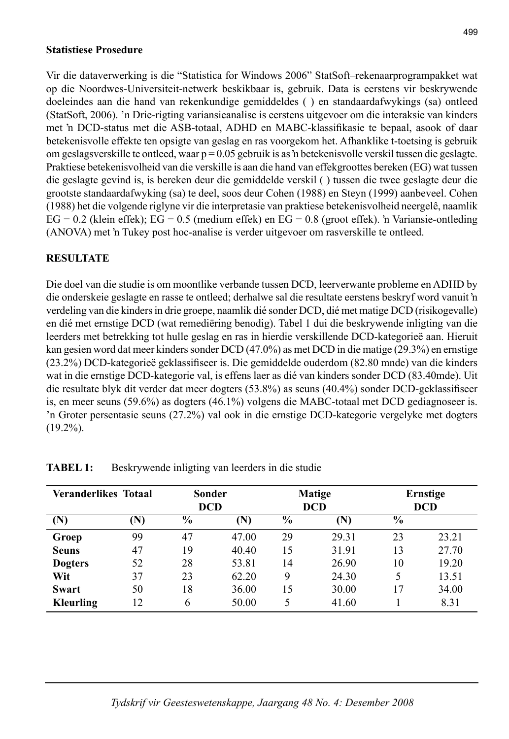#### **Statistiese Prosedure**

Vir die dataverwerking is die "Statistica for Windows 2006" StatSoft–rekenaarprogrampakket wat op die Noordwes-Universiteit-netwerk beskikbaar is, gebruik. Data is eerstens vir beskrywende doeleindes aan die hand van rekenkundige gemiddeldes ( ) en standaardafwykings (sa) ontleed (StatSoft, 2006). 'n Drie-rigting variansieanalise is eerstens uitgevoer om die interaksie van kinders met 'n DCD-status met die ASB-totaal, ADHD en MABC-klassifikasie te bepaal, asook of daar betekenisvolle effekte ten opsigte van geslag en ras voorgekom het. Afhanklike t-toetsing is gebruik om geslagsverskille te ontleed, waar  $p = 0.05$  gebruik is as 'n betekenisvolle verskil tussen die geslagte. Praktiese betekenisvolheid van die verskille is aan die hand van effekgroottes bereken (EG) wat tussen die geslagte gevind is, is bereken deur die gemiddelde verskil ( ) tussen die twee geslagte deur die grootste standaardafwyking (sa) te deel, soos deur Cohen (1988) en Steyn (1999) aanbeveel. Cohen (1988) het die volgende riglyne vir die interpretasie van praktiese betekenisvolheid neergelê, naamlik  $EG = 0.2$  (klein effek);  $EG = 0.5$  (medium effek) en  $EG = 0.8$  (groot effek). 'n Variansie-ontleding (ANOVA) met 'n Tukey post hoc-analise is verder uitgevoer om rasverskille te ontleed.

# **RESULTATE**

Die doel van die studie is om moontlike verbande tussen DCD, leerverwante probleme en ADHD by die onderskeie geslagte en rasse te ontleed; derhalwe sal die resultate eerstens beskryf word vanuit 'n verdeling van die kinders in drie groepe, naamlik dié sonder DCD, dié met matige DCD (risikogevalle) en dié met ernstige DCD (wat remediëring benodig). Tabel 1 dui die beskrywende inligting van die leerders met betrekking tot hulle geslag en ras in hierdie verskillende DCD-kategorieë aan. Hieruit kan gesien word dat meer kinders sonder DCD (47.0%) as met DCD in die matige (29.3%) en ernstige (23.2%) DCD-kategorieë geklassifiseer is. Die gemiddelde ouderdom (82.80 mnde) van die kinders wat in die ernstige DCD-kategorie val, is effens laer as dié van kinders sonder DCD (83.40mde). Uit die resultate blyk dit verder dat meer dogters (53.8%) as seuns (40.4%) sonder DCD-geklassifiseer is, en meer seuns (59.6%) as dogters (46.1%) volgens die MABC-totaal met DCD gediagnoseer is. 'n Groter persentasie seuns (27.2%) val ook in die ernstige DCD-kategorie vergelyke met dogters  $(19.2\%)$ .

| <b>Veranderlikes Totaal</b> |     | Sonder<br><b>DCD</b> |       |               | Matige<br><b>DCD</b> | <b>Ernstige</b><br><b>DCD</b> |       |  |
|-----------------------------|-----|----------------------|-------|---------------|----------------------|-------------------------------|-------|--|
| (N)                         | (N) | $\frac{6}{6}$        | N)    | $\frac{6}{6}$ | (N)                  | $\frac{6}{9}$                 |       |  |
| Groep                       | 99  | 47                   | 47.00 | 29            | 29.31                | 23                            | 23.21 |  |
| <b>Seuns</b>                | 47  | 19                   | 40.40 | 15            | 31.91                | 13                            | 27.70 |  |
| <b>Dogters</b>              | 52  | 28                   | 53.81 | 14            | 26.90                | 10                            | 19.20 |  |
| Wit                         | 37  | 23                   | 62.20 | 9             | 24.30                | 5                             | 13.51 |  |
| <b>Swart</b>                | 50  | 18                   | 36.00 | 15            | 30.00                | 17                            | 34.00 |  |
| <b>Kleurling</b>            | 12  | 6                    | 50.00 | 5.            | 41.60                |                               | 8.31  |  |

**TABEL 1:** Beskrywende inligting van leerders in die studie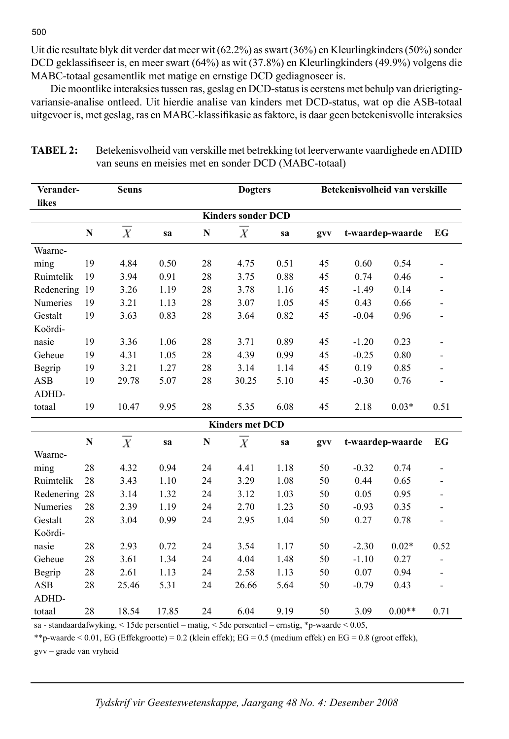Uit die resultate blyk dit verder dat meer wit (62.2%) as swart (36%) en Kleurlingkinders (50%) sonder DCD geklassifiseer is, en meer swart (64%) as wit (37.8%) en Kleurlingkinders (49.9%) volgens die MABC-totaal gesamentlik met matige en ernstige DCD gediagnoseer is.

 Die moontlike interaksies tussen ras, geslag en DCD-status is eerstens met behulp van drierigtingvariansie-analise ontleed. Uit hierdie analise van kinders met DCD-status, wat op die ASB-totaal uitgevoer is, met geslag, ras en MABC-klassifi kasie as faktore, is daar geen betekenisvolle interaksies

| Verander-                 |                                                                               | <b>Seuns</b>   |       | <b>Dogters</b> |                        |      | Betekenisvolheid van verskille |                  |          |                          |  |
|---------------------------|-------------------------------------------------------------------------------|----------------|-------|----------------|------------------------|------|--------------------------------|------------------|----------|--------------------------|--|
| likes                     |                                                                               |                |       |                |                        |      |                                |                  |          |                          |  |
| <b>Kinders sonder DCD</b> |                                                                               |                |       |                |                        |      |                                |                  |          |                          |  |
|                           | ${\bf N}$                                                                     | $\overline{X}$ | sa    | ${\bf N}$      | $\overline{X}$         | sa   | t-waardep-waarde<br>gvv        |                  | EG       |                          |  |
| Waarne-                   |                                                                               |                |       |                |                        |      |                                |                  |          |                          |  |
| ming                      | 19                                                                            | 4.84           | 0.50  | 28             | 4.75                   | 0.51 | 45                             | 0.60             | 0.54     |                          |  |
| Ruimtelik                 | 19                                                                            | 3.94           | 0.91  | 28             | 3.75                   | 0.88 | 45                             | 0.74             | 0.46     |                          |  |
| Redenering 19             |                                                                               | 3.26           | 1.19  | 28             | 3.78                   | 1.16 | 45                             | $-1.49$          | 0.14     |                          |  |
| Numeries                  | 19                                                                            | 3.21           | 1.13  | 28             | 3.07                   | 1.05 | 45                             | 0.43             | 0.66     | $\overline{\phantom{0}}$ |  |
| Gestalt                   | 19                                                                            | 3.63           | 0.83  | 28             | 3.64                   | 0.82 | 45                             | $-0.04$          | 0.96     |                          |  |
| Koördi-                   |                                                                               |                |       |                |                        |      |                                |                  |          |                          |  |
| nasie                     | 19                                                                            | 3.36           | 1.06  | 28             | 3.71                   | 0.89 | 45                             | $-1.20$          | 0.23     |                          |  |
| Geheue                    | 19                                                                            | 4.31           | 1.05  | 28             | 4.39                   | 0.99 | 45                             | $-0.25$          | 0.80     |                          |  |
| Begrip                    | 19                                                                            | 3.21           | 1.27  | 28             | 3.14                   | 1.14 | 45                             | 0.19             | 0.85     |                          |  |
| ASB                       | 19                                                                            | 29.78          | 5.07  | 28             | 30.25                  | 5.10 | 45                             | $-0.30$<br>0.76  |          |                          |  |
| ADHD-                     |                                                                               |                |       |                |                        |      |                                |                  |          |                          |  |
| totaal                    | 19                                                                            | 10.47          | 9.95  | 28             | 5.35                   | 6.08 | 45                             | 2.18             | $0.03*$  | 0.51                     |  |
|                           |                                                                               |                |       |                | <b>Kinders met DCD</b> |      |                                |                  |          |                          |  |
|                           | $\overline{X}$<br>$\overline{X}$<br>${\bf N}$<br>${\bf N}$<br>sa<br>sa<br>gvv |                |       |                |                        |      |                                | t-waardep-waarde | EG       |                          |  |
| Waarne-                   |                                                                               |                |       |                |                        |      |                                |                  |          |                          |  |
| ming                      | 28                                                                            | 4.32           | 0.94  | 24             | 4.41                   | 1.18 | 50                             | $-0.32$          | 0.74     |                          |  |
| Ruimtelik                 | 28                                                                            | 3.43           | 1.10  | 24             | 3.29                   | 1.08 | 50                             | 0.44             | 0.65     |                          |  |
| Redenering 28             |                                                                               | 3.14           | 1.32  | 24             | 3.12                   | 1.03 | 50                             | 0.05             | 0.95     |                          |  |
| Numeries                  | 28                                                                            | 2.39           | 1.19  | 24             | 2.70                   | 1.23 | 50                             | $-0.93$          | 0.35     | -                        |  |
| Gestalt                   | 28                                                                            | 3.04           | 0.99  | 24             | 2.95                   | 1.04 | 50                             | 0.27<br>0.78     |          | $\overline{a}$           |  |
| Koördi-                   |                                                                               |                |       |                |                        |      |                                |                  |          |                          |  |
| nasie                     | 28                                                                            | 2.93           | 0.72  | 24             | 3.54                   | 1.17 | 50                             | $-2.30$          | $0.02*$  | 0.52                     |  |
| Geheue                    | 28                                                                            | 3.61           | 1.34  | 24             | 4.04                   | 1.48 | 50                             | $-1.10$          | 0.27     | $\overline{a}$           |  |
| Begrip                    | 28                                                                            | 2.61           | 1.13  | 24             | 2.58                   | 1.13 | 50                             | 0.07             | 0.94     | $\overline{a}$           |  |
| <b>ASB</b>                | 28                                                                            | 25.46          | 5.31  | 24             | 26.66                  | 5.64 | 50                             | $-0.79$          | 0.43     |                          |  |
| ADHD-                     |                                                                               |                |       |                |                        |      |                                |                  |          |                          |  |
| totaal                    | 28                                                                            | 18.54          | 17.85 | 24             | 6.04                   | 9.19 | 50                             | 3.09             | $0.00**$ | 0.71                     |  |

**TABEL 2:** Betekenisvolheid van verskille met betrekking tot leerverwante vaardighede en ADHD van seuns en meisies met en sonder DCD (MABC-totaal)

sa - standaardafwyking, < 15de persentiel – matig, < 5de persentiel – ernstig, \*p-waarde < 0.05,

\*\*p-waarde < 0.01, EG (Effekgrootte) = 0.2 (klein effek); EG = 0.5 (medium effek) en EG = 0.8 (groot effek),

gvv – grade van vryheid

500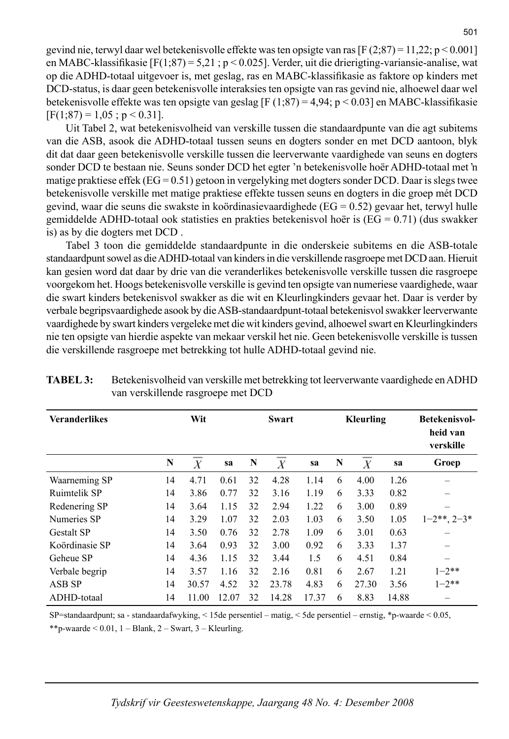gevind nie, terwyl daar wel betekenisvolle effekte was ten opsigte van ras [F  $(2;87) = 11,22$ ; p < 0.001] en MABC-klassifikasie  $[F(1;87) = 5,21; p < 0.025]$ . Verder, uit die drierigting-variansie-analise, wat op die ADHD-totaal uitgevoer is, met geslag, ras en MABC-klassifi kasie as faktore op kinders met DCD-status, is daar geen betekenisvolle interaksies ten opsigte van ras gevind nie, alhoewel daar wel betekenisvolle effekte was ten opsigte van geslag [F (1;87) = 4,94; p < 0.03] en MABC-klassifikasie  $[F(1;87) = 1,05; p < 0.31].$ 

 Uit Tabel 2, wat betekenisvolheid van verskille tussen die standaardpunte van die agt subitems van die ASB, asook die ADHD-totaal tussen seuns en dogters sonder en met DCD aantoon, blyk dit dat daar geen betekenisvolle verskille tussen die leerverwante vaardighede van seuns en dogters sonder DCD te bestaan nie. Seuns sonder DCD het egter 'n betekenisvolle hoër ADHD-totaal met 'n matige praktiese effek ( $EG = 0.51$ ) getoon in vergelyking met dogters sonder DCD. Daar is slegs twee betekenisvolle verskille met matige praktiese effekte tussen seuns en dogters in die groep mét DCD gevind, waar die seuns die swakste in koördinasievaardighede ( $EG = 0.52$ ) gevaar het, terwyl hulle gemiddelde ADHD-totaal ook statisties en prakties betekenisvol hoër is (EG = 0.71) (dus swakker is) as by die dogters met DCD .

 Tabel 3 toon die gemiddelde standaardpunte in die onderskeie subitems en die ASB-totale standaardpunt sowel as die ADHD-totaal van kinders in die verskillende rasgroepe met DCD aan. Hieruit kan gesien word dat daar by drie van die veranderlikes betekenisvolle verskille tussen die rasgroepe voorgekom het. Hoogs betekenisvolle verskille is gevind ten opsigte van numeriese vaardighede, waar die swart kinders betekenisvol swakker as die wit en Kleurlingkinders gevaar het. Daar is verder by verbale begripsvaardighede asook by die ASB-standaardpunt-totaal betekenisvol swakker leerverwante vaardighede by swart kinders vergeleke met die wit kinders gevind, alhoewel swart en Kleurlingkinders nie ten opsigte van hierdie aspekte van mekaar verskil het nie. Geen betekenisvolle verskille is tussen die verskillende rasgroepe met betrekking tot hulle ADHD-totaal gevind nie.

| <b>Veranderlikes</b> | Wit |                                              |       | <b>Swart</b> |                       |       |   | Kleurling        | Betekenisvol-<br>heid van<br>verskille |                          |
|----------------------|-----|----------------------------------------------|-------|--------------|-----------------------|-------|---|------------------|----------------------------------------|--------------------------|
|                      | N   | $\overline{\phantom{a}}$<br>$\boldsymbol{X}$ | sa    | N            | _<br>$\boldsymbol{X}$ | sa    | N | $\boldsymbol{X}$ | sa                                     | Groep                    |
| Waarneming SP        | 14  | 4.71                                         | 0.61  | 32           | 4.28                  | 1.14  | 6 | 4.00             | 1.26                                   |                          |
| Ruimtelik SP         | 14  | 3.86                                         | 0.77  | 32           | 3.16                  | 1.19  | 6 | 3.33             | 0.82                                   |                          |
| Redenering SP        | 14  | 3.64                                         | 1.15  | 32           | 2.94                  | 1.22  | 6 | 3.00             | 0.89                                   | $\overline{\phantom{0}}$ |
| Numeries SP          | 14  | 3.29                                         | 1.07  | 32           | 2.03                  | 1.03  | 6 | 3.50             | 1.05                                   | $1-2**$ , $2-3*$         |
| <b>Gestalt SP</b>    | 14  | 3.50                                         | 0.76  | 32           | 2.78                  | 1.09  | 6 | 3.01             | 0.63                                   |                          |
| Koördinasie SP       | 14  | 3.64                                         | 0.93  | 32           | 3.00                  | 0.92  | 6 | 3.33             | 1.37                                   |                          |
| Geheue SP            | 14  | 4.36                                         | 1.15  | 32           | 3.44                  | 1.5   | 6 | 4.51             | 0.84                                   |                          |
| Verbale begrip       | 14  | 3.57                                         | 1.16  | 32           | 2.16                  | 0.81  | 6 | 2.67             | 1.21                                   | $1 - 2**$                |
| <b>ASB SP</b>        | 14  | 30.57                                        | 4.52  | 32           | 23.78                 | 4.83  | 6 | 27.30            | 3.56                                   | $1 - 2$ **               |
| ADHD-totaal          | 14  | 11.00                                        | 12.07 | 32           | 14.28                 | 17.37 | 6 | 8.83             | 14.88                                  |                          |

**TABEL 3:** Betekenisvolheid van verskille met betrekking tot leerverwante vaardighede en ADHD van verskillende rasgroepe met DCD

 SP=standaardpunt; sa - standaardafwyking, < 15de persentiel – matig, < 5de persentiel – ernstig, \*p-waarde < 0.05, \*\*p-waarde < 0.01, 1 – Blank, 2 – Swart, 3 – Kleurling.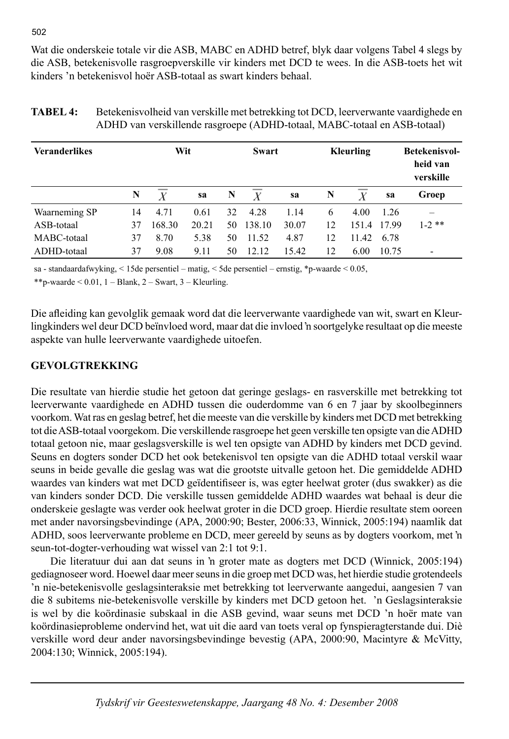Wat die onderskeie totale vir die ASB, MABC en ADHD betref, blyk daar volgens Tabel 4 slegs by die ASB, betekenisvolle rasgroepverskille vir kinders met DCD te wees. In die ASB-toets het wit kinders 'n betekenisvol hoër ASB-totaal as swart kinders behaal.

| TABEL 4: | Betekenisvolheid van verskille met betrekking tot DCD, leerverwante vaardighede en |
|----------|------------------------------------------------------------------------------------|
|          | ADHD van verskillende rasgroepe (ADHD-totaal, MABC-totaal en ASB-totaal)           |

| <b>Veranderlikes</b> | Wit |        |       |    | <b>Swart</b> |       |    | Kleurling |       | Betekenisvol-<br>heid van<br>verskille |  |
|----------------------|-----|--------|-------|----|--------------|-------|----|-----------|-------|----------------------------------------|--|
|                      | N   | Х      | sa    | N  | X            | sa    | N  | Y         | sa    | Groep                                  |  |
| Waarneming SP        | 14  | 4.71   | 0.61  | 32 | 4.28         | 1.14  | 6  | 4.00      | 1.26  | —                                      |  |
| ASB-totaal           | 37  | 168.30 | 20.21 | 50 | 138.10       | 30.07 | 12 | 151.4     | 17.99 | $1 - 2$ **                             |  |
| MABC-totaal          | 37  | 8.70   | 5.38  | 50 | 11.52        | 4.87  | 12 | 11.42     | 6.78  |                                        |  |
| ADHD-totaal          | 37  | 9.08   | 9.11  | 50 | 12.12        | 15.42 | 12 | 6.00      | 10.75 | ٠                                      |  |

sa - standaardafwyking, < 15de persentiel – matig, < 5de persentiel – ernstig, \*p-waarde < 0.05,

\*\*p-waarde  $\leq 0.01$ ,  $1 - Blank$ ,  $2 - Swart$ ,  $3 - Kleurling$ .

Die afl eiding kan gevolglik gemaak word dat die leerverwante vaardighede van wit, swart en Kleurlingkinders wel deur DCD beїnvloed word, maar dat die invloed 'n soortgelyke resultaat op die meeste aspekte van hulle leerverwante vaardighede uitoefen.

# **GEVOLGTREKKING**

Die resultate van hierdie studie het getoon dat geringe geslags- en rasverskille met betrekking tot leerverwante vaardighede en ADHD tussen die ouderdomme van 6 en 7 jaar by skoolbeginners voorkom. Wat ras en geslag betref, het die meeste van die verskille by kinders met DCD met betrekking tot die ASB-totaal voorgekom. Die verskillende rasgroepe het geen verskille ten opsigte van die ADHD totaal getoon nie, maar geslagsverskille is wel ten opsigte van ADHD by kinders met DCD gevind. Seuns en dogters sonder DCD het ook betekenisvol ten opsigte van die ADHD totaal verskil waar seuns in beide gevalle die geslag was wat die grootste uitvalle getoon het. Die gemiddelde ADHD waardes van kinders wat met DCD geïdentifiseer is, was egter heelwat groter (dus swakker) as die van kinders sonder DCD. Die verskille tussen gemiddelde ADHD waardes wat behaal is deur die onderskeie geslagte was verder ook heelwat groter in die DCD groep. Hierdie resultate stem ooreen met ander navorsingsbevindinge (APA, 2000:90; Bester, 2006:33, Winnick, 2005:194) naamlik dat ADHD, soos leerverwante probleme en DCD, meer gereeld by seuns as by dogters voorkom, met 'n seun-tot-dogter-verhouding wat wissel van 2:1 tot 9:1.

 Die literatuur dui aan dat seuns in 'n groter mate as dogters met DCD (Winnick, 2005:194) gediagnoseer word. Hoewel daar meer seuns in die groep met DCD was, het hierdie studie grotendeels 'n nie-betekenisvolle geslagsinteraksie met betrekking tot leerverwante aangedui, aangesien 7 van die 8 subitems nie-betekenisvolle verskille by kinders met DCD getoon het. 'n Geslagsinteraksie is wel by die koördinasie subskaal in die ASB gevind, waar seuns met DCD 'n hoër mate van koördinasieprobleme ondervind het, wat uit die aard van toets veral op fynspieragterstande dui. Diè verskille word deur ander navorsingsbevindinge bevestig (APA, 2000:90, Macintyre & McVitty, 2004:130; Winnick, 2005:194).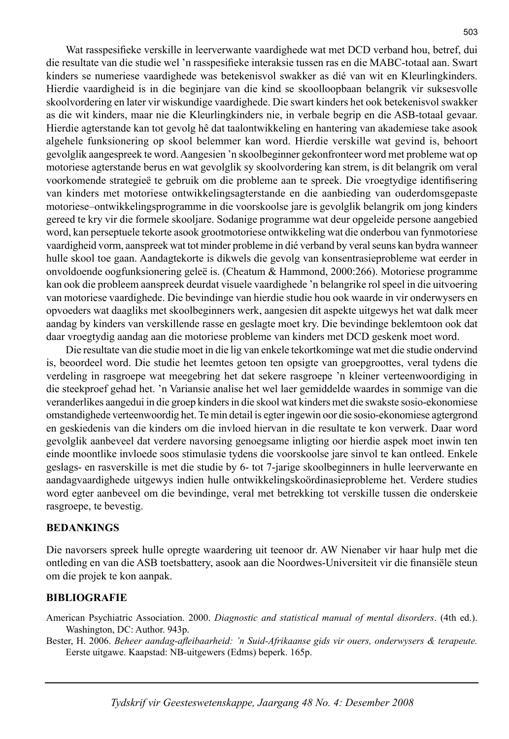Wat rasspesifieke verskille in leerverwante vaardighede wat met DCD verband hou, betref, dui die resultate van die studie wel 'n rasspesifieke interaksie tussen ras en die MABC-totaal aan. Swart kinders se numeriese vaardighede was betekenisvol swakker as dié van wit en Kleurlingkinders. Hierdie vaardigheid is in die beginjare van die kind se skoolloopbaan belangrik vir suksesvolle skoolvordering en later vir wiskundige vaardighede. Die swart kinders het ook betekenisvol swakker as die wit kinders, maar nie die Kleurlingkinders nie, in verbale begrip en die ASB-totaal gevaar. Hierdie agterstande kan tot gevolg hê dat taalontwikkeling en hantering van akademiese take asook algehele funksionering op skool belemmer kan word. Hierdie verskille wat gevind is, behoort gevolglik aangespreek te word. Aangesien 'n skoolbeginner gekonfronteer word met probleme wat op motoriese agterstande berus en wat gevolglik sy skoolvordering kan strem, is dit belangrik om veral voorkomende strategieë te gebruik om die probleme aan te spreek. Die vroegtydige identifisering van kinders met motoriese ontwikkelingsagterstande en die aanbieding van ouderdomsgepaste motoriese–ontwikkelingsprogramme in die voorskoolse jare is gevolglik belangrik om jong kinders gereed te kry vir die formele skooljare. Sodanige programme wat deur opgeleide persone aangebied word, kan perseptuele tekorte asook grootmotoriese ontwikkeling wat die onderbou van fynmotoriese vaardigheid vorm, aanspreek wat tot minder probleme in dié verband by veral seuns kan bydra wanneer hulle skool toe gaan. Aandagtekorte is dikwels die gevolg van konsentrasieprobleme wat eerder in onvoldoende oogfunksionering geleë is. (Cheatum & Hammond, 2000:266). Motoriese programme kan ook die probleem aanspreek deurdat visuele vaardighede 'n belangrike rol speel in die uitvoering van motoriese vaardighede. Die bevindinge van hierdie studie hou ook waarde in vir onderwysers en opvoeders wat daagliks met skoolbeginners werk, aangesien dit aspekte uitgewys het wat dalk meer aandag by kinders van verskillende rasse en geslagte moet kry. Die bevindinge beklemtoon ook dat daar vroegtydig aandag aan die motoriese probleme van kinders met DCD geskenk moet word.

 Die resultate van die studie moet in die lig van enkele tekortkominge wat met die studie ondervind is, beoordeel word. Die studie het leemtes getoon ten opsigte van groepgroottes, veral tydens die verdeling in rasgroepe wat meegebring het dat sekere rasgroepe 'n kleiner verteenwoordiging in die steekproef gehad het. 'n Variansie analise het wel laer gemiddelde waardes in sommige van die veranderlikes aangedui in die groep kinders in die skool wat kinders met die swakste sosio-ekonomiese omstandighede verteenwoordig het. Te min detail is egter ingewin oor die sosio-ekonomiese agtergrond en geskiedenis van die kinders om die invloed hiervan in die resultate te kon verwerk. Daar word gevolglik aanbeveel dat verdere navorsing genoegsame inligting oor hierdie aspek moet inwin ten einde moontlike invloede soos stimulasie tydens die voorskoolse jare sinvol te kan ontleed. Enkele geslags- en rasverskille is met die studie by 6- tot 7-jarige skoolbeginners in hulle leerverwante en aandagvaardighede uitgewys indien hulle ontwikkelingskoördinasieprobleme het. Verdere studies word egter aanbeveel om die bevindinge, veral met betrekking tot verskille tussen die onderskeie rasgroepe, te bevestig.

#### **BEDANKINGS**

Die navorsers spreek hulle opregte waardering uit teenoor dr. AW Nienaber vir haar hulp met die ontleding en van die ASB toetsbattery, asook aan die Noordwes-Universiteit vir die finansiële steun om die projek te kon aanpak.

#### **BIBLIOGRAFIE**

American Psychiatric Association. 2000. *Diagnostic and statistical manual of mental disorders*. (4th ed.). Washington, DC: Author. 943p.

Bester, H. 2006. *Beheer aandag-afleibaarheid: 'n Suid-Afrikaanse gids vir ouers, onderwysers & terapeute.* Eerste uitgawe. Kaapstad: NB-uitgewers (Edms) beperk. 165p.